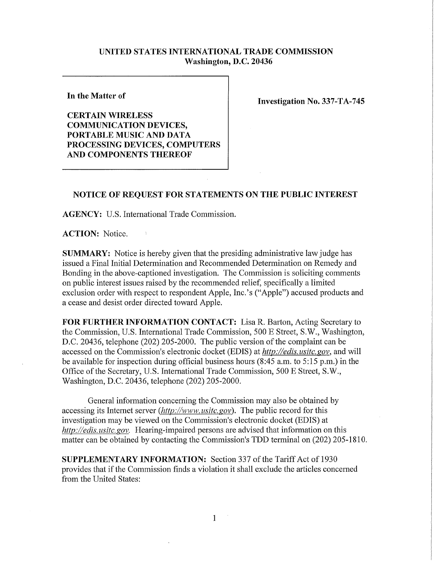## **UNITED STATES INTERNATIONAL TRADE COMMISSION Washington, D.C. 20436**

**In the Matter of** 

**CERTAIN WIRELES S COMMUNICATION DEVICES, PORTABLE MUSIC AND DATA PROCESSING DEVICES , COMPUTERS AND COMPONENTS THEREOF** 

**Investigation No. 337-TA-745** 

## **NOTICE OF REQUEST FOR STATEMENTS ON THE PUBLIC INTEREST**

**AGENCY:** U.S. International Trade Commission.

 $\Delta$ 

**ACTION:** Notice.

**SUMMARY:** Notice is hereby given that the presiding administrative law judge has issued a Final Initial Determination and Recommended Determination on Remedy and Bonding in the above-captioned investigation. The Commission is soliciting comments on public interest issues raised by the recommended relief, specifically a limited exclusion order with respect to respondent Apple, Inc.'s ("Apple") accused products and a cease and desist order directed toward Apple.

FOR FURTHER INFORMATION CONTACT: Lisa R. Barton, Acting Secretary to the Commission, U.S. International Trade Commission, 500 E Street, S.W., Washington, D.C. 20436, telephone (202) 205-2000. The public version of the complaint can be accessed on the Commission's electronic docket (EDIS) at *http://edis.usitc.gov*, and will be available for inspection during official business hours (8:45 a.m. to 5:15 p.m.) in the Office of the Secretary, U.S. International Trade Commission, 500 E Street, S.W., Washington, D.C. 20436, telephone (202) 205-2000.

General information concerning the Commission may also be obtained by accessing its Internet server *(http://www, usitc.gov).* The public record for this investigation may be viewed on the Commission's electronic docket (EDIS) at *http://edis. usitc. gov.* Hearing-impaired persons are advised that information on this matter can be obtained by contacting the Commission's TDD terminal on (202) 205-1810

**SUPPLEMENTARY INFORMATION:** Section 337 ofthe Tariff Act of 1930 provides that if the Commission finds a violation it shall exclude the articles concerned from the United States: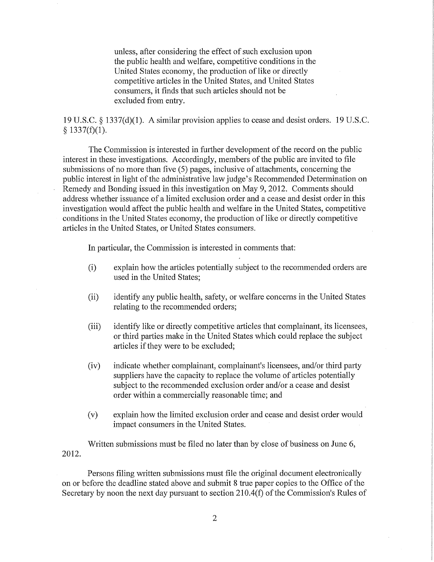unless, after considering the effect of such exclusion upon the public health and welfare, competitive conditions in the United States economy, the production of like or directly competitive articles in the United States, and United States consumers, it finds that such articles should not be excluded from entry.

19 U.S.C. § 1337(d)(1). A similar provision applies to cease and desist orders. 19 U.S.C. § 1337(f)(1).

The Commission is interested in further development of the record on the public interest in these investigations. Accordingly, members of the public are invited to file submissions of no more than five (5) pages, inclusive of attachments, concerning the public interest in light of the administrative law judge's Recommended Determination on Remedy and Bonding issued in this investigation on May 9, 2012. Comments should address whether issuance of a limited exclusion order and a cease and desist order in this investigation would affect the public health and welfare in the United States, competitive conditions in the United States economy, the production of like or directly competitive articles in the United States, or United States consumers.

In particular, the Commission is interested in comments that:

- (i) explain how the articles potentially subject to the recommended orders are used in the United States;
- (ii) identify any public health, safety, or welfare concerns in the United States relating to the recommended orders;
- (iii) identify like or directly competitive articles that complainant, its licensees, or third parties make in the United States which could replace the subject articles if they were to be excluded;
- (iv) indicate whether complainant, complainant's licensees, and/or third party suppliers have the capacity to replace the volume of articles potentially subject to the recommended exclusion order and/or a cease and desist order within a commercially reasonable time; and
- (v) explain how the limited exclusion order and cease and desist order would impact consumers in the United States.

Written submissions must be filed no later than by close of business on June 6, 2012.

Persons filing written submissions must file the original document electronically on or before the deadline stated above and submit 8 true paper copies to the Office of the Secretary by noon the next day pursuant to section 210.4(f) of the Commission's Rules of